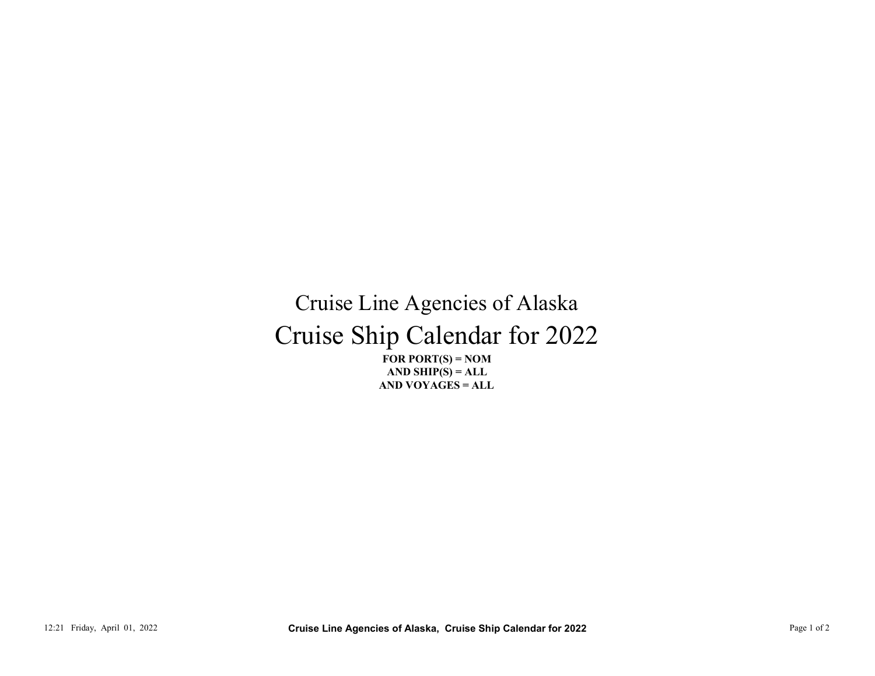## Cruise Ship Calendar for 2022 Cruise Line Agencies of Alaska 12:21 Friday, April 01, 2022<br>
12:21 Friday, April 01, 2022<br>
12:21 Friday, April 01, 2022<br>
21:221 Friday, April 01, 2022<br>
21:221 Friday, April 01, 2022<br>
21:221 Friday, April 01, 2022<br>
22:21 Friday, April 01, 2022<br>
22:21 Pa

FOR PORT $(S) = NOM$ AND VOYAGES = ALL AND SHIP $(S) = ALL$